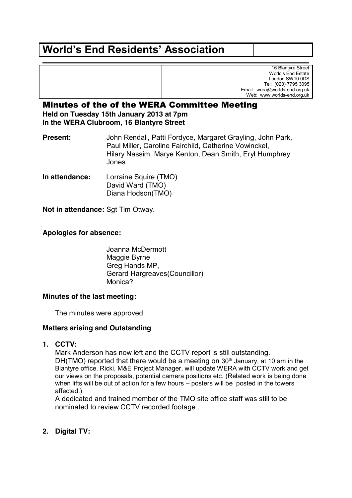# **World's End Residents' Association**

16 Blantyre Street World's End Estate London SW10 0DS Tel: (020) 7795 3095 Email: wera@worlds-end.org.uk Web: www.worlds-end.org.uk

### Minutes of the of the WERA Committee Meeting **Held on Tuesday 15th January 2013 at 7pm In the WERA Clubroom, 16 Blantyre Street**

**Present:** John Rendall**,** Patti Fordyce, Margaret Grayling, John Park, Paul Miller, Caroline Fairchild, Catherine Vowinckel, Hilary Nassim, Marye Kenton, Dean Smith, Eryl Humphrey Jones

**In attendance:** Lorraine Squire (TMO) David Ward (TMO) Diana Hodson(TMO)

**Not in attendance:** Sgt Tim Otway.

# **Apologies for absence:**

Joanna McDermott Maggie Byrne Greg Hands MP, Gerard Hargreaves(Councillor) Monica?

### **Minutes of the last meeting:**

The minutes were approved.

### **Matters arising and Outstanding**

**1. CCTV:**

Mark Anderson has now left and the CCTV report is still outstanding. DH(TMO) reported that there would be a meeting on  $30<sup>th</sup>$  January, at 10 am in the Blantyre office. Ricki, M&E Project Manager, will update WERA with CCTV work and get our views on the proposals, potential camera positions etc. (Related work is being done when lifts will be out of action for a few hours – posters will be posted in the towers affected.)

A dedicated and trained member of the TMO site office staff was still to be nominated to review CCTV recorded footage .

**2. Digital TV:**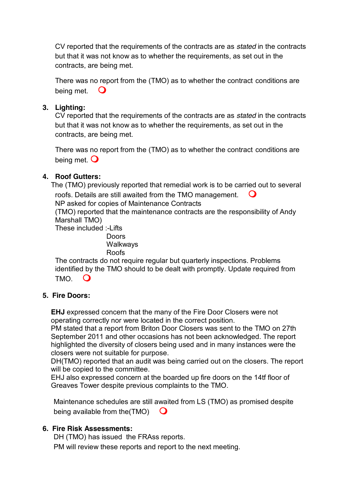CV reported that the requirements of the contracts are as *stated* in the contracts but that it was not know as to whether the requirements, as set out in the contracts, are being met.

There was no report from the (TMO) as to whether the contract conditions are being met.  $\bigcirc$ 

# **3. Lighting:**

CV reported that the requirements of the contracts are as *stated* in the contracts but that it was not know as to whether the requirements, as set out in the contracts, are being met.

There was no report from the (TMO) as to whether the contract conditions are being met.  $\mathbf{\Omega}$ 

# **4. Roof Gutters:**

The (TMO) previously reported that remedial work is to be carried out to several roofs. Details are still awaited from the TMO management.

NP asked for copies of Maintenance Contracts

(TMO) reported that the maintenance contracts are the responsibility of Andy Marshall TMO)

These included :-Lifts

**Doors** Walkways

Roofs

The contracts do not require regular but quarterly inspections. Problems identified by the TMO should to be dealt with promptly. Update required from TMO<sup>O</sup>

# **5. Fire Doors:**

**EHJ** expressed concern that the many of the Fire Door Closers were not operating correctly nor were located in the correct position.

PM stated that a report from Briton Door Closers was sent to the TMO on 27th September 2011 and other occasions has not been acknowledged. The report highlighted the diversity of closers being used and in many instances were the closers were not suitable for purpose.

DH(TMO) reported that an audit was being carried out on the closers. The report will be copied to the committee.

EHJ also expressed concern at the boarded up fire doors on the 14tf floor of Greaves Tower despite previous complaints to the TMO.

Maintenance schedules are still awaited from LS (TMO) as promised despite being available from the  $(TMO)$   $\Box$ 

# **6. Fire Risk Assessments:**

DH (TMO) has issued the FRAss reports.

PM will review these reports and report to the next meeting.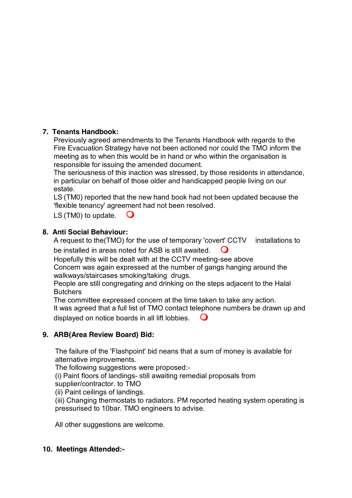# **7. Tenants Handbook:**

Previously agreed amendments to the Tenants Handbook with regards to the Fire Evacuation Strategy have not been actioned nor could the TMO inform the meeting as to when this would be in hand or who within the organisation is responsible for issuing the amended document.

The seriousness of this inaction was stressed, by those residents in attendance, in particular on behalf of those older and handicapped people living on our estate.

LS (TM0) reported that the new hand book had not been updated because the 'flexible tenancy' agreement had not been resolved.

LS (TM0) to update.  $\bigcirc$ 

# **8. Anti Social Behaviour:**

A request to the(TMO) for the use of temporary 'covert' CCTV installations to be installed in areas noted for ASB is still awaited.  $\Box$ 

Hopefully this will be dealt with at the CCTV meeting-see above Concern was again expressed at the number of gangs hanging around the walkways/staircases smoking/taking drugs.

People are still congregating and drinking on the steps adjacent to the Halal **Butchers** 

The committee expressed concern at the time taken to take any action. It was agreed that a full list of TMO contact telephone numbers be drawn up and displayed on notice boards in all lift lobbies.  $\bigcirc$ 

# **9. ARB(Area Review Board) Bid:**

The failure of the 'Flashpoint' bid neans that a sum of money is available for alternative improvements.

The following suggestions were proposed:-

(i) Paint floors of landings- still awaiting remedial proposals from

supplier/contractor. to TMO

(ii) Paint ceilings of landings.

(iii) Changing thermostats to radiators. PM reported heating system operating is pressurised to 10bar. TMO engineers to advise.

All other suggestions are welcome.

### **10. Meetings Attended:-**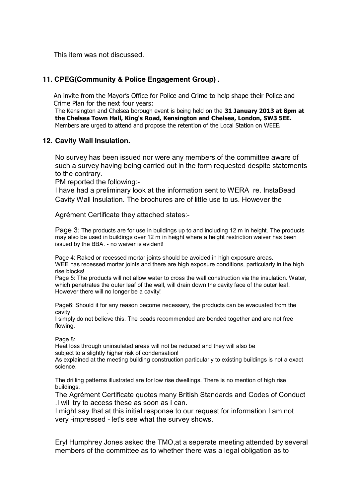This item was not discussed.

### **11. CPEG(Community & Police Engagement Group) .**

An invite from the Mayor's Office for Police and Crime to help shape their Police and Crime Plan for the next four years:

The Kensington and Chelsea borough event is being held on the **31 January 2013 at 8pm at the Chelsea Town Hall, King's Road, Kensington and Chelsea, London, SW3 5EE.** Members are urged to attend and propose the retention of the Local Station on WEEE.

#### **12. Cavity Wall Insulation.**

No survey has been issued nor were any members of the committee aware of such a survey having being carried out in the form requested despite statements to the contrary.

PM reported the following:-

I have had a preliminary look at the information sent to WERA re. InstaBead Cavity Wall Insulation. The brochures are of little use to us. However the

Agrément Certificate they attached states:-

Page 3: The products are for use in buildings up to and including 12 m in height. The products may also be used in buildings over 12 m in height where a height restriction waiver has been issued by the BBA. - no waiver is evident!

Page 4: Raked or recessed mortar joints should be avoided in high exposure areas. WEE has recessed mortar joints and there are high exposure conditions, particularly in the high rise blocks!

Page 5: The products will not allow water to cross the wall construction via the insulation. Water, which penetrates the outer leaf of the wall, will drain down the cavity face of the outer leaf. However there will no longer be a cavity!

Page6: Should it for any reason become necessary, the products can be evacuated from the cavity .

I simply do not believe this. The beads recommended are bonded together and are not free flowing.

Page 8:

Heat loss through uninsulated areas will not be reduced and they will also be subject to a slightly higher risk of condensation!

As explained at the meeting building construction particularly to existing buildings is not a exact science.

The drilling patterns illustrated are for low rise dwellings. There is no mention of high rise buildings.

The Agrément Certificate quotes many British Standards and Codes of Conduct .I will try to access these as soon as I can.

I might say that at this initial response to our request for information I am not very -impressed - let's see what the survey shows.

Eryl Humphrey Jones asked the TMO,at a seperate meeting attended by several members of the committee as to whether there was a legal obligation as to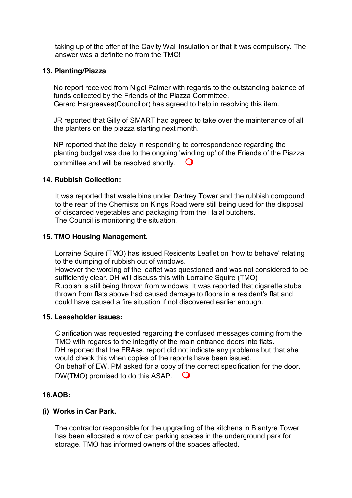taking up of the offer of the Cavity Wall Insulation or that it was compulsory. The answer was a definite no from the TMO!

### **13. Planting/Piazza**

No report received from Nigel Palmer with regards to the outstanding balance of funds collected by the Friends of the Piazza Committee. Gerard Hargreaves(Councillor) has agreed to help in resolving this item.

JR reported that Gilly of SMART had agreed to take over the maintenance of all the planters on the piazza starting next month.

NP reported that the delay in responding to correspondence regarding the planting budget was due to the ongoing 'winding up' of the Friends of the Piazza committee and will be resolved shortly.  $\Box$ 

# **14. Rubbish Collection:**

It was reported that waste bins under Dartrey Tower and the rubbish compound to the rear of the Chemists on Kings Road were still being used for the disposal of discarded vegetables and packaging from the Halal butchers. The Council is monitoring the situation.

# **15. TMO Housing Management.**

Lorraine Squire (TMO) has issued Residents Leaflet on 'how to behave' relating to the dumping of rubbish out of windows.

However the wording of the leaflet was questioned and was not considered to be sufficiently clear. DH will discuss this with Lorraine Squire (TMO) Rubbish is still being thrown from windows. It was reported that cigarette stubs thrown from flats above had caused damage to floors in a resident's flat and could have caused a fire situation if not discovered earlier enough.

### **15. Leaseholder issues:**

Clarification was requested regarding the confused messages coming from the TMO with regards to the integrity of the main entrance doors into flats. DH reported that the FRAss. report did not indicate any problems but that she would check this when copies of the reports have been issued. On behalf of EW. PM asked for a copy of the correct specification for the door. DW(TMO) promised to do this ASAP.  $\bigcirc$ 

### **16.AOB:**

# **(i) Works in Car Park.**

The contractor responsible for the upgrading of the kitchens in Blantyre Tower has been allocated a row of car parking spaces in the underground park for storage. TMO has informed owners of the spaces affected.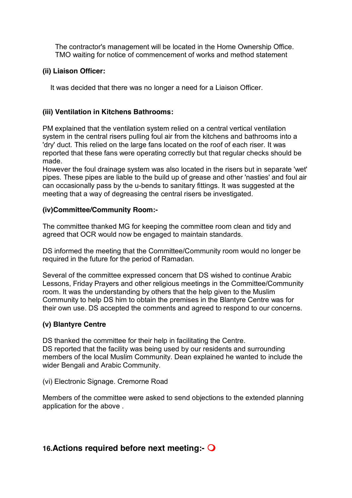The contractor's management will be located in the Home Ownership Office. TMO waiting for notice of commencement of works and method statement

# **(ii) Liaison Officer:**

It was decided that there was no longer a need for a Liaison Officer.

# **(iii) Ventilation in Kitchens Bathrooms:**

PM explained that the ventilation system relied on a central vertical ventilation system in the central risers pulling foul air from the kitchens and bathrooms into a 'dry' duct. This relied on the large fans located on the roof of each riser. It was reported that these fans were operating correctly but that regular checks should be made.

However the foul drainage system was also located in the risers but in separate 'wet' pipes. These pipes are liable to the build up of grease and other 'nasties' and foul air can occasionally pass by the u-bends to sanitary fittings. It was suggested at the meeting that a way of degreasing the central risers be investigated.

# **(iv)Committee/Community Room:-**

The committee thanked MG for keeping the committee room clean and tidy and agreed that OCR would now be engaged to maintain standards.

DS informed the meeting that the Committee/Community room would no longer be required in the future for the period of Ramadan.

Several of the committee expressed concern that DS wished to continue Arabic Lessons, Friday Prayers and other religious meetings in the Committee/Community room. It was the understanding by others that the help given to the Muslim Community to help DS him to obtain the premises in the Blantyre Centre was for their own use. DS accepted the comments and agreed to respond to our concerns.

# **(v) Blantyre Centre**

DS thanked the committee for their help in facilitating the Centre. DS reported that the facility was being used by our residents and surrounding members of the local Muslim Community. Dean explained he wanted to include the wider Bengali and Arabic Community.

(vi) Electronic Signage. Cremorne Road

Members of the committee were asked to send objections to the extended planning application for the above .

# **16.Actions required before next meeting:-**